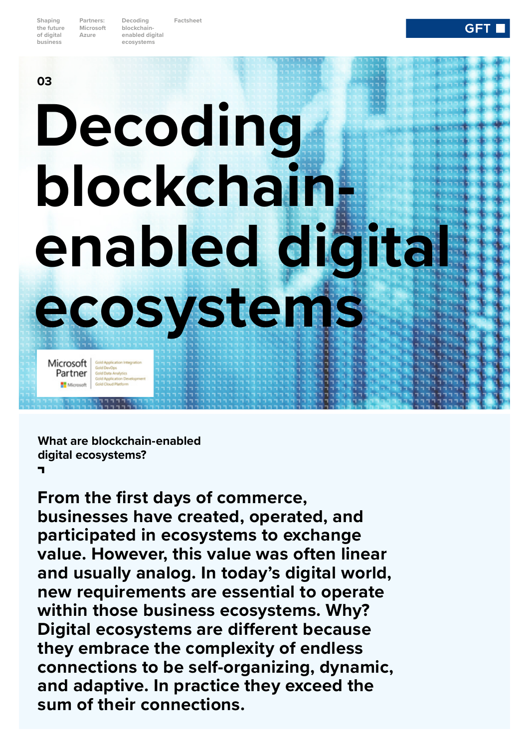**Shaping the future of digital business**

**Partners: Microsoft Azure**

**03**

**Decoding blockchainenabled digital ecosystems**

**Factsheet**

**ecosystems** 

# **Decoding blockchainenabled digital**

**GFT** 

**What are blockchain-enabled digital ecosystems? A**

Gold Application Integral Gold DevOps<br>Gold Data Analytics<br>Gold Application De

**Microsoft**<br>Partner

**From the first days of commerce, businesses have created, operated, and participated in ecosystems to exchange value. However, this value was often linear and usually analog. In today's digital world, new requirements are essential to operate within those business ecosystems. Why? Digital ecosystems are different because they embrace the complexity of endless connections to be self-organizing, dynamic, and adaptive. In practice they exceed the sum of their connections.**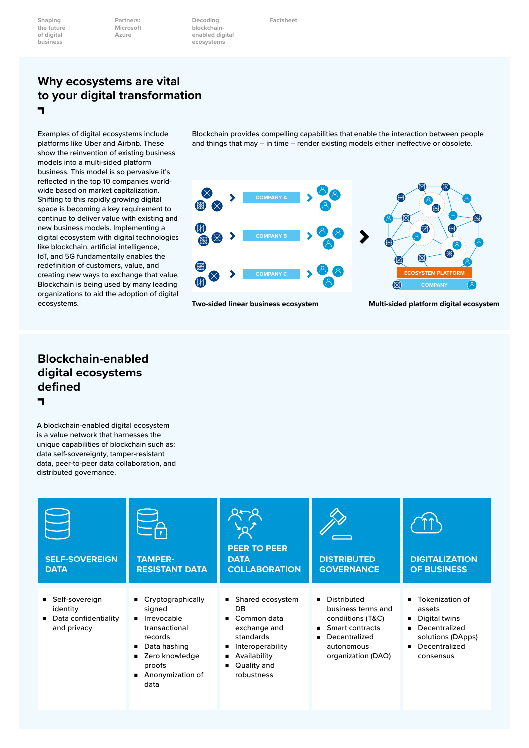**Shaping the future of digital business**

**Partners: Microsoft Azure**

**Decoding blockchainenabled digital ecosystems**

**Factsheet**

#### **Why ecosystems are vital to your digital transformation A**

Examples of digital ecosystems include platforms like Uber and Airbnb. These show the reinvention of existing business models into a multi-sided platform business. This model is so pervasive it's reflected in the top 10 companies worldwide based on market capitalization. Shifting to this rapidly growing digital space is becoming a key requirement to continue to deliver value with existing and new business models. Implementing a digital ecosystem with digital technologies like blockchain, artificial intelligence, IoT, and 5G fundamentally enables the redefinition of customers, value, and creating new ways to exchange that value. Blockchain is being used by many leading organizations to aid the adoption of digital ecosystems.

Blockchain provides compelling capabilities that enable the interaction between people and things that may – in time – render existing models either ineffective or obsolete.



#### **Two-sided linear business ecosystem**

**Multi-sided platform digital ecosystem**

#### **Blockchain-enabled digital ecosystems defined A**

A blockchain-enabled digital ecosystem is a value network that harnesses the unique capabilities of blockchain such as: data self-sovereignty, tamper-resistant data, peer-to-peer data collaboration, and distributed governance.

| <b>SELF-SOVEREIGN</b><br><b>DATA</b>                                | <b>TAMPER-</b><br><b>RESISTANT DATA</b>                                                                                                                   | <b>PEER TO PEER</b><br><b>DATA</b><br><b>COLLABORATION</b>                                                                                              | <b>DISTRIBUTED</b><br><b>GOVERNANCE</b>                                                                                        | <b>DIGITALIZATION</b><br><b>OF BUSINESS</b>                                                                                                                          |
|---------------------------------------------------------------------|-----------------------------------------------------------------------------------------------------------------------------------------------------------|---------------------------------------------------------------------------------------------------------------------------------------------------------|--------------------------------------------------------------------------------------------------------------------------------|----------------------------------------------------------------------------------------------------------------------------------------------------------------------|
| ■ Self-sovereign<br>identity<br>Data confidentiality<br>and privacy | Cryptographically<br>signed<br><b>I</b> Irrevocable<br>transactional<br>records<br>Data hashing<br>Zero knowledge<br>proofs<br>■ Anonymization of<br>data | ■ Shared ecosystem<br>DB<br>Common data<br>$\blacksquare$<br>exchange and<br>standards<br>Interoperability<br>Availability<br>Quality and<br>robustness | Distributed<br>business terms and<br>condiitions (T&C)<br>Smart contracts<br>Decentralized<br>autonomous<br>organization (DAO) | Tokenization of<br>$\blacksquare$<br>assets<br>Digital twins<br>Decentralized<br>$\blacksquare$<br>solutions (DApps)<br>Decentralized<br>$\blacksquare$<br>consensus |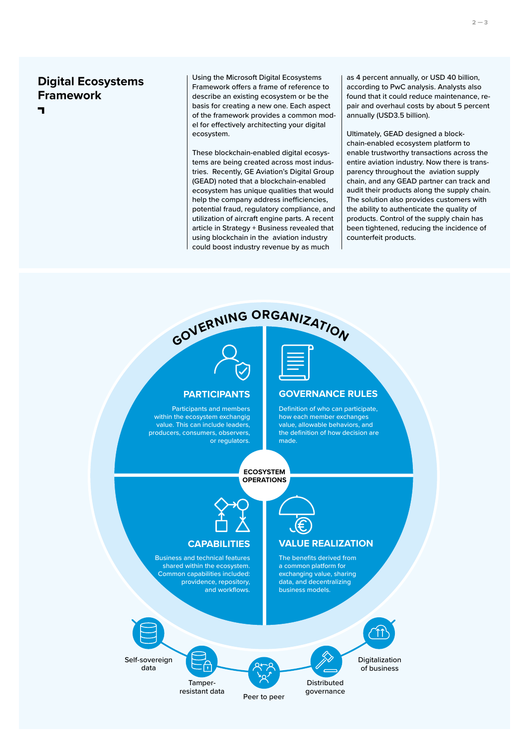## **Digital Ecosystems Framework A**

Using the Microsoft Digital Ecosystems Framework offers a frame of reference to describe an existing ecosystem or be the basis for creating a new one. Each aspect of the framework provides a common model for effectively architecting your digital ecosystem.

These blockchain-enabled digital ecosystems are being created across most industries. Recently, GE Aviation's Digital Group (GEAD) noted that a blockchain-enabled ecosystem has unique qualities that would help the company address inefficiencies, potential fraud, regulatory compliance, and utilization of aircraft engine parts. A recent article in Strategy + Business revealed that using blockchain in the aviation industry could boost industry revenue by as much

as 4 percent annually, or USD 40 billion, according to PwC analysis. Analysts also found that it could reduce maintenance, repair and overhaul costs by about 5 percent annually (USD3.5 billion).

Ultimately, GEAD designed a blockchain-enabled ecosystem platform to enable trustworthy transactions across the entire aviation industry. Now there is transparency throughout the aviation supply chain, and any GEAD partner can track and audit their products along the supply chain. The solution also provides customers with the ability to authenticate the quality of products. Control of the supply chain has been tightened, reducing the incidence of counterfeit products.